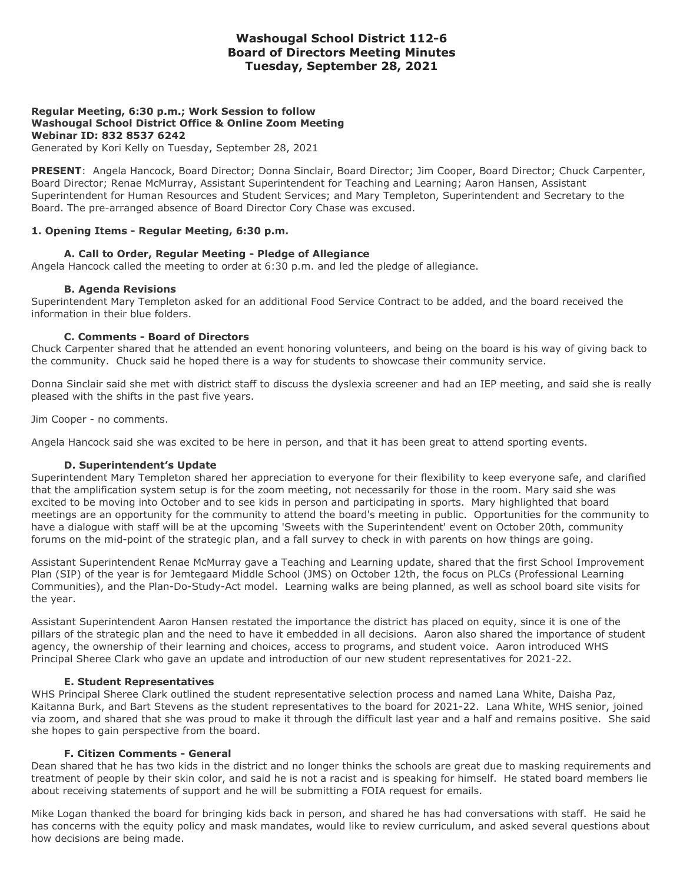# **Washougal School District 112-6 Board of Directors Meeting Minutes Tuesday, September 28, 2021**

## **Regular Meeting, 6:30 p.m.; Work Session to follow Washougal School District Office & Online Zoom Meeting Webinar ID: 832 8537 6242**

Generated by Kori Kelly on Tuesday, September 28, 2021

**PRESENT**: Angela Hancock, Board Director; Donna Sinclair, Board Director; Jim Cooper, Board Director; Chuck Carpenter, Board Director; Renae McMurray, Assistant Superintendent for Teaching and Learning; Aaron Hansen, Assistant Superintendent for Human Resources and Student Services; and Mary Templeton, Superintendent and Secretary to the Board. The pre-arranged absence of Board Director Cory Chase was excused.

### **1. Opening Items - Regular Meeting, 6:30 p.m.**

### **A. Call to Order, Regular Meeting - Pledge of Allegiance**

Angela Hancock called the meeting to order at 6:30 p.m. and led the pledge of allegiance.

### **B. Agenda Revisions**

Superintendent Mary Templeton asked for an additional Food Service Contract to be added, and the board received the information in their blue folders.

### **C. Comments - Board of Directors**

Chuck Carpenter shared that he attended an event honoring volunteers, and being on the board is his way of giving back to the community. Chuck said he hoped there is a way for students to showcase their community service.

Donna Sinclair said she met with district staff to discuss the dyslexia screener and had an IEP meeting, and said she is really pleased with the shifts in the past five years.

Jim Cooper - no comments.

Angela Hancock said she was excited to be here in person, and that it has been great to attend sporting events.

### **D. Superintendent's Update**

Superintendent Mary Templeton shared her appreciation to everyone for their flexibility to keep everyone safe, and clarified that the amplification system setup is for the zoom meeting, not necessarily for those in the room. Mary said she was excited to be moving into October and to see kids in person and participating in sports. Mary highlighted that board meetings are an opportunity for the community to attend the board's meeting in public. Opportunities for the community to have a dialogue with staff will be at the upcoming 'Sweets with the Superintendent' event on October 20th, community forums on the mid-point of the strategic plan, and a fall survey to check in with parents on how things are going.

Assistant Superintendent Renae McMurray gave a Teaching and Learning update, shared that the first School Improvement Plan (SIP) of the year is for Jemtegaard Middle School (JMS) on October 12th, the focus on PLCs (Professional Learning Communities), and the Plan-Do-Study-Act model. Learning walks are being planned, as well as school board site visits for the year.

Assistant Superintendent Aaron Hansen restated the importance the district has placed on equity, since it is one of the pillars of the strategic plan and the need to have it embedded in all decisions. Aaron also shared the importance of student agency, the ownership of their learning and choices, access to programs, and student voice. Aaron introduced WHS Principal Sheree Clark who gave an update and introduction of our new student representatives for 2021-22.

### **E. Student Representatives**

WHS Principal Sheree Clark outlined the student representative selection process and named Lana White, Daisha Paz, Kaitanna Burk, and Bart Stevens as the student representatives to the board for 2021-22. Lana White, WHS senior, joined via zoom, and shared that she was proud to make it through the difficult last year and a half and remains positive. She said she hopes to gain perspective from the board.

### **F. Citizen Comments - General**

Dean shared that he has two kids in the district and no longer thinks the schools are great due to masking requirements and treatment of people by their skin color, and said he is not a racist and is speaking for himself. He stated board members lie about receiving statements of support and he will be submitting a FOIA request for emails.

Mike Logan thanked the board for bringing kids back in person, and shared he has had conversations with staff. He said he has concerns with the equity policy and mask mandates, would like to review curriculum, and asked several questions about how decisions are being made.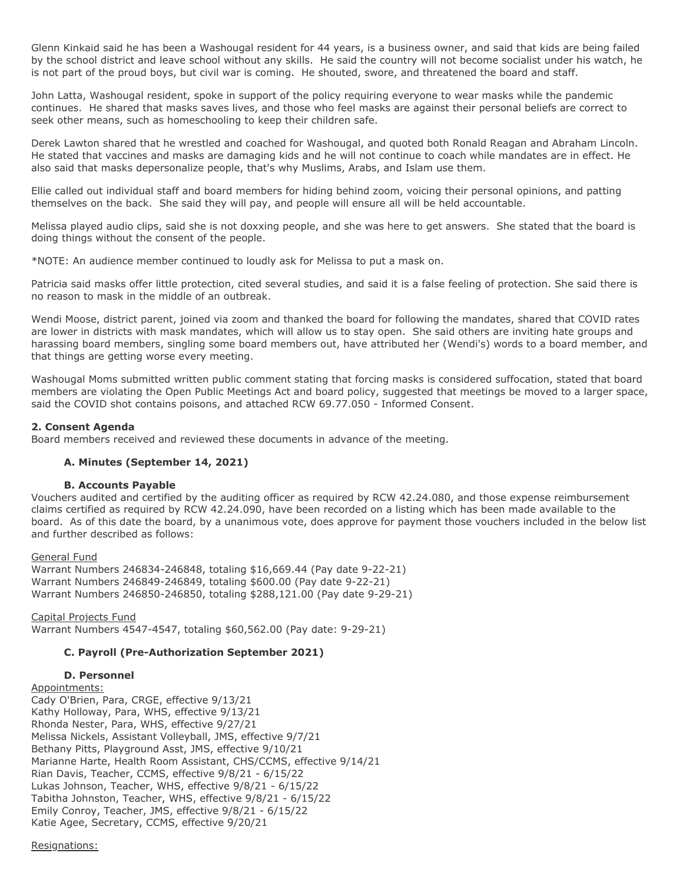Glenn Kinkaid said he has been a Washougal resident for 44 years, is a business owner, and said that kids are being failed by the school district and leave school without any skills. He said the country will not become socialist under his watch, he is not part of the proud boys, but civil war is coming. He shouted, swore, and threatened the board and staff.

John Latta, Washougal resident, spoke in support of the policy requiring everyone to wear masks while the pandemic continues. He shared that masks saves lives, and those who feel masks are against their personal beliefs are correct to seek other means, such as homeschooling to keep their children safe.

Derek Lawton shared that he wrestled and coached for Washougal, and quoted both Ronald Reagan and Abraham Lincoln. He stated that vaccines and masks are damaging kids and he will not continue to coach while mandates are in effect. He also said that masks depersonalize people, that's why Muslims, Arabs, and Islam use them.

Ellie called out individual staff and board members for hiding behind zoom, voicing their personal opinions, and patting themselves on the back. She said they will pay, and people will ensure all will be held accountable.

Melissa played audio clips, said she is not doxxing people, and she was here to get answers. She stated that the board is doing things without the consent of the people.

\*NOTE: An audience member continued to loudly ask for Melissa to put a mask on.

Patricia said masks offer little protection, cited several studies, and said it is a false feeling of protection. She said there is no reason to mask in the middle of an outbreak.

Wendi Moose, district parent, joined via zoom and thanked the board for following the mandates, shared that COVID rates are lower in districts with mask mandates, which will allow us to stay open. She said others are inviting hate groups and harassing board members, singling some board members out, have attributed her (Wendi's) words to a board member, and that things are getting worse every meeting.

Washougal Moms submitted written public comment stating that forcing masks is considered suffocation, stated that board members are violating the Open Public Meetings Act and board policy, suggested that meetings be moved to a larger space, said the COVID shot contains poisons, and attached RCW 69.77.050 - Informed Consent.

### **2. Consent Agenda**

Board members received and reviewed these documents in advance of the meeting.

## **A. Minutes (September 14, 2021)**

### **B. Accounts Payable**

Vouchers audited and certified by the auditing officer as required by RCW 42.24.080, and those expense reimbursement claims certified as required by RCW 42.24.090, have been recorded on a listing which has been made available to the board. As of this date the board, by a unanimous vote, does approve for payment those vouchers included in the below list and further described as follows:

General Fund Warrant Numbers 246834-246848, totaling \$16,669.44 (Pay date 9-22-21) Warrant Numbers 246849-246849, totaling \$600.00 (Pay date 9-22-21) Warrant Numbers 246850-246850, totaling \$288,121.00 (Pay date 9-29-21)

Capital Projects Fund Warrant Numbers 4547-4547, totaling \$60,562.00 (Pay date: 9-29-21)

### **C. Payroll (Pre-Authorization September 2021)**

### **D. Personnel**

Appointments: Cady O'Brien, Para, CRGE, effective 9/13/21 Kathy Holloway, Para, WHS, effective 9/13/21 Rhonda Nester, Para, WHS, effective 9/27/21 Melissa Nickels, Assistant Volleyball, JMS, effective 9/7/21 Bethany Pitts, Playground Asst, JMS, effective 9/10/21 Marianne Harte, Health Room Assistant, CHS/CCMS, effective 9/14/21 Rian Davis, Teacher, CCMS, effective 9/8/21 - 6/15/22 Lukas Johnson, Teacher, WHS, effective 9/8/21 - 6/15/22 Tabitha Johnston, Teacher, WHS, effective 9/8/21 - 6/15/22 Emily Conroy, Teacher, JMS, effective 9/8/21 - 6/15/22 Katie Agee, Secretary, CCMS, effective 9/20/21

#### Resignations: